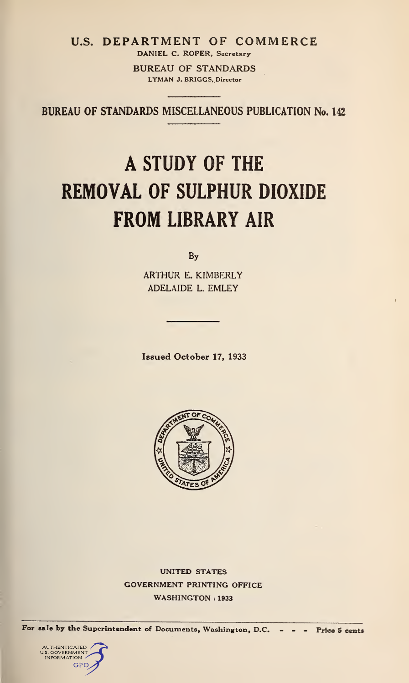U.S. DEPARTMENT OF COMMERCE DANIEL C. ROPER, Secretary

> BUREAU OF STANDARDS LYMAN J. BRIGGS, Director

BUREAU OF STANDARDS MISCELLANEOUS PUBLICATION No. <sup>142</sup>

# A STUDY OF THE REMOVAL OF SULPHUR DIOXIDE FROM LIBRARY AIR

By

ARTHUR E. KIMBERLY ADELAIDE L. EMLEY

Issued October 17, 1933



UNITED STATES GOVERNMENT PRINTING OFFICE WASHINGTON : <sup>1933</sup>

For sale by the Superintendent of Documents, Washington, D.C. - - - Price 5 cents

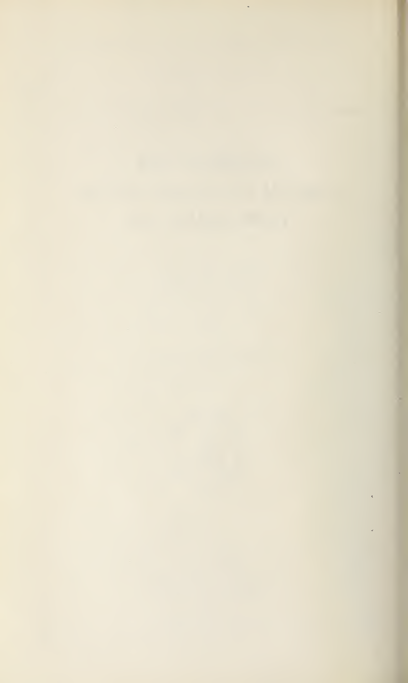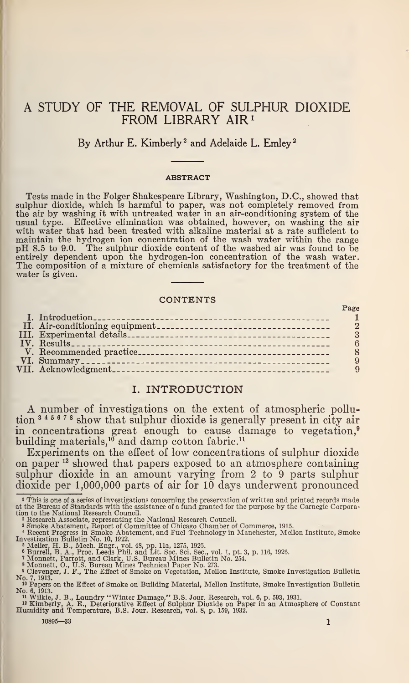# A STUDY OF THE REMOVAL OF SULPHUR DIOXIDE FROM LIBRARY AIR <sup>1</sup>

# By Arthur E. Kimberly<sup>2</sup> and Adelaide L. Emley<sup>2</sup>

#### ABSTRACT

Tests made in the Folger Shakespeare Library, Washington, D.C., showed that sulphur dioxide, which is harmful to paper, was not completely removed from<br>the air by washing it with untreated water in an air-conditioning system of the<br>usual type. Effective elimination was obtained, however, on washin maintain the hydrogen ion concentration of the wash water within the range pH 8.5 to 9.0. The sulphur dioxide content of the washed air was found to be entirely dependent upon the hydrogen-ion concentration of the wash wat The composition of a mixture of chemicals satisfactory for the treatment of the water is given.

#### **CONTENTS**

|                 | Page |
|-----------------|------|
| I. Introduction |      |
|                 |      |
|                 |      |
|                 |      |
|                 |      |
|                 |      |
|                 |      |
|                 |      |

### I. INTRODUCTION

A number of investigations on the extent of atmospheric pollution <sup>3</sup> <sup>4</sup> <sup>5</sup> <sup>6</sup> <sup>7</sup> <sup>8</sup> show that sulphur dioxide is generally present in city air in concentrations great enough to cause damage to vegetation,<sup>9</sup> building materials,<sup>10</sup> and damp cotton fabric.<sup>11</sup>

Experiments on the effect of low concentrations of sulphur dioxide on paper <sup>12</sup> showed that papers exposed to an atmosphere containing sulphur dioxide in an amount varying from 2 to 9 parts sulphur dioxide per 1,000,000 parts of air for 10 days underwent pronounced

<sup>&</sup>lt;sup>1</sup> This is one of a series of investigations concerning the preservation of written and printed records made<br>at the Bureau of Standards with the assistance of a fund granted for the purpose by the Carnegie Corpora-<br>tion t

<sup>&</sup>lt;sup>2</sup> Research Associate, representing the National Research Council.<br>
<sup>3</sup> Smoke Abatement, Report of Committee of Chicago Chamber of Commerce, 1915.<br>
<sup>4</sup> Recent Progress in Smoke Abatement, and Fuel Technology in Manchester

<sup>&</sup>lt;sup>10</sup> Papers on the Effect of Smoke on Building Material, Mellon Institute, Smoke Investigation Bulletin<br>No. 6, 1913.<br><sup>11</sup> Wilkie, J. B., Laundry "Winter Damage," B.S. Jour. Research, vol. 6, p. 593, 1931.

<sup>12</sup> Kimberly, A. E., Deteriorative Effect of Sulphur Dioxide on Paper in an Atmosphere of Constant Humidity and Temperature, B.S. Jour. Research, vol. 8, p. 159, 1932.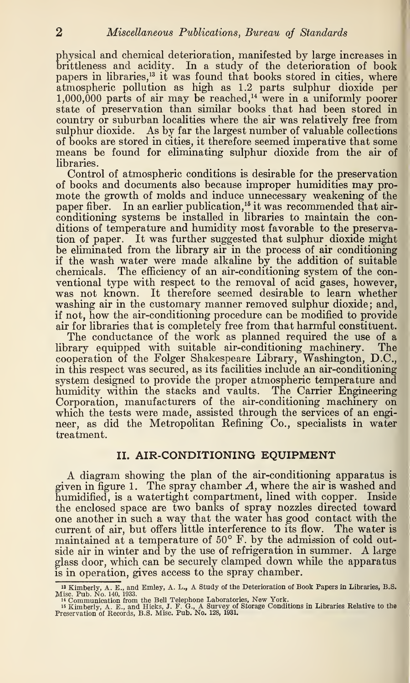physical and chemical deterioration, manifested by large increases in brittleness and acidity. In a study of the deterioration of book papers in libraries,<sup>13</sup> it was found that books stored in cities, where atmospheric pollution as high as 1.2 parts sulphur dioxide per<br>1,000,000 parts of air may be reached,<sup>14</sup> were in a uniformly poorer state of preservation than similar books that had been stored in country or suburban localities where the air was relatively free from sulphur dioxide. As by far the largest number of valuable collections of books are stored in cities, it therefore seemed imperative that some means be found for eliminating sulphur dioxide from the air of libraries.

Control of atmospheric conditions is desirable for the preservation of books and documents also because improper humidities may promote the growth of molds and induce unnecessary weakening of the paper fiber. In an earlier publication,<sup>16</sup> it was recommended that airconditioning systems be installed in libraries to maintain the conditions of temperature and humidity most favorable to the preservation of paper. It was further suggested that sulphur dioxide might be eliminated from the library air in the process of air conditioning if the wash water were made alkaline by the addition of suitable chemicals. The efficiency of an air-conditioning system of the con ventional type with respect to the removal of acid gases, however, was not known. It therefore seemed desirable to learn whether washing air in the customary manner removed sulphur dioxide; and, if not, how the air-conditioning procedure can be modified to provide air for libraries that is completely free from that harmful constituent.

The conductance of the work as planned required the use of a library equipped with suitable air-conditioning machinery. The cooperation of the Folger Shakespeare Library, Washington, D.C., in this respect was secured, as its facilities include an air-conditioning system designed to provide the proper atmospheric temperature and humidity within the stacks and vaults. The Carrier Engineering Corporation, manufacturers of the air-conditioning machinery on which the tests were made, assisted through the services of an engineer, as did the Metropolitan Refining Co., specialists in water treatment.

# II. AIR-CONDITIONING EQUIPMENT

A diagram showing the plan of the air-conditioning apparatus is given in figure 1. The spray chamber  $A$ , where the air is washed and humidified, is a watertight compartment, lined with copper. Inside the enclosed space are two banks of spray nozzles directed toward one another in such a way that the water has good contact with the current of air, but offers little interference to its flow. The water ismaintained at a temperature of 50° F. by the admission of cold outside air in winter and by the use of refrigeration in summer. A large glass door, which can be securely clamped down while the apparatus is in operation, gives access to the spray chamber.

<sup>&</sup>lt;sup>13</sup> Kimberly, A. E., and Emley, A. L., A Study of the Deterioration of Book Papers in Libraries, B.S.<br>Misc. Pub. No. 140, 1933.<br><sup>14</sup> Communication from the Bell Telephone Laboratories, New York.<br><sup>14</sup> Communication form t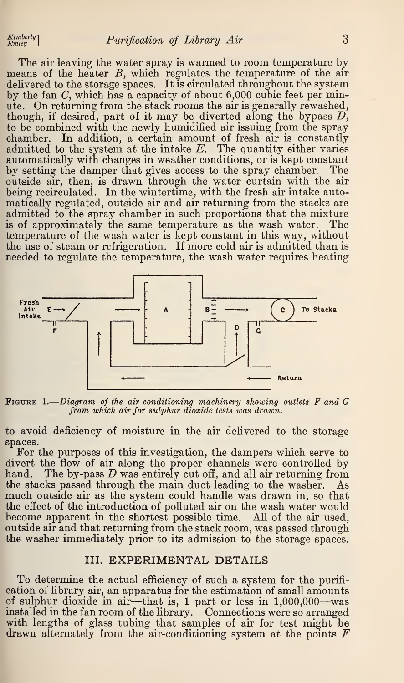The air leaving the water spray is warmed to room temperature by means of the heater  $B$ , which regulates the temperature of the air delivered to the storage spaces. It is circulated throughout the system by the fan  $C$ , which has a capacity of about 6,000 cubic feet per minute. On returning from the stack rooms the air is generally rewashed, though, if desired, part of it may be diverted along the bypass  $D$ , to be combined with the newly humidified air issuing from the spray chamber. In addition, a certain amount of fresh air is constantly admitted to the system at the intake  $E$ . The quantity either varies automatically with changes in weather conditions, or is kept constant by setting the damper that gives access to the spray chamber. The outside air, then, is drawn through the water curtain with the air being recirculated. In the wintertime, with the fresh air intake automatically regulated, outside air and air returning from the stacks are admitted to the spray chamber in such proportions that the mixture is of approximately the same temperature as the wash water. The temperature of the wash water is kept constant in this way, without the use of steam or refrigeration. If more cold air is admitted than isneeded to regulate the temperature, the wash water requires heating



FIGURE 1.—Diagram of the air conditioning machinery showing outlets  $F$  and  $G$ from which air for sulphur dioxide tests was drawn.

to avoid deficiency of moisture in the air delivered to the storage spaces.

For the purposes of this investigation, the dampers which serve to divert the flow of air along the proper channels were controlled by hand. The by-pass  $D$  was entirely cut off, and all air returning from the stacks passed through the main duct leading to the washer. As much outside air as the system could handle was drawn in, so that the effect of the introduction of polluted air on the wash water would become apparent in the shortest possible time. All of the air used, outside air and that returning from the stack room, was passed through the washer immediately prior to its admission to the storage spaces.

### III. EXPERIMENTAL DETAILS

To determine the actual efficiency of such a system for the purification of library air, an apparatus for the estimation of small amounts of sulphur dioxide in air—that is, <sup>1</sup> part or less in 1,000,000—was installed in the fan room of the library. Connections were so arranged with lengths of glass tubing that samples of air for test might be drawn alternately from the air-conditioning system at the points  $F$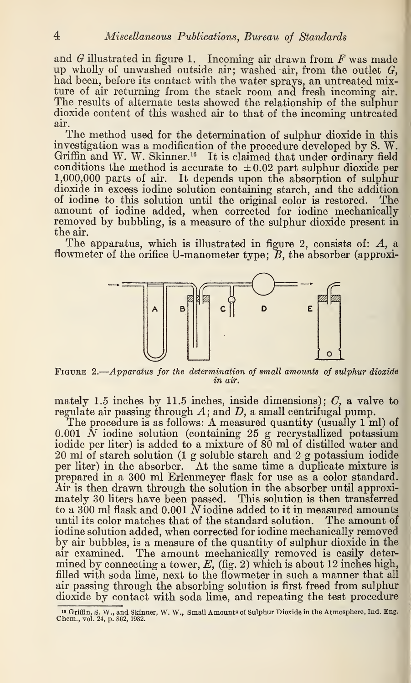and G illustrated in figure 1. Incoming air drawn from  $F$  was made up wholly of unwashed outside air; washed air, from the outlet  $G$ , had been, before its contact with the water sprays, an untreated mix-<br>ture of air returning from the stack room and fresh incoming air. The results of alternate tests showed the relationship of the sulphur dioxide content of this washed air to that of the incoming untreated air.

The method used for the determination of sulphur dioxide in this investigation was a modification of the procedure developed by S.W, Griffin and W. W. Skinner.<sup>16</sup> It is claimed that under ordinary field conditions the method is accurate to  $\pm 0.02$  part sulphur dioxide per 1,000,000 parts of air. It depends upon the absorption of sulph dioxide in excess iodine solution containing starch, and the addition of iodine to this solution until the original color is restored. Th amount of iodine added, when corrected for iodine mechanically removed by bubbling, is a measure of the sulphur dioxide present in the air.

The apparatus, which is illustrated in figure 2, consists of:  $A$ , a flowmeter of the orifice U-manometer type;  $\ddot{B}$ , the absorber (approxi-



FIGURE 2.—Apparatus for the determination of small amounts of sulphur dioxide in air.

mately 1.5 inches by 11.5 inches, inside dimensions);  $C$ , a valve to regulate air passing through  $A$ ; and  $D$ , a small centrifugal pump.

The procedure is as follows: A measured quantity (usually 1 ml) of 0.001 N iodine solution (containing  $25 \text{ g}$  recrystallized potassium iodide per liter) is added to a mixture of  $80$  ml of distilled water and 20 ml of starch solution (1 g soluble starch and <sup>2</sup> g potassium iodid per liter) in the absorber. At the same time a duplicate mixture is prepared in a 300 ml Erlenmeyer flask for use as a color standard Air is then drawn through the solution in the absorber until approxi mately 30 liters have been passed. This solution is then transferred to a 300 ml flask and  $0.001$   $\dot{N}$  iodine added to it in measured amounts until its color matches that of the standard solution. The amount oiodine solution added, when corrected for iodine mechanically remove by air bubbles, is a measure of the quantity of sulphur dioxide in th air examined. The amount mechanically removed is easily determined by connecting a tower,  $E$ , (fig. 2) which is about 12 inches high, filled with soda lime, next to the flowmeter in such a manner that all air passing through the absorbing solution is first freed from sulphur dioxide by contact with soda lime, and repeating the test procedure

is Griffin, S. W., and Skinner, W. W., Small Amounts of Sulphur Dioxide in the Atmosphere, Ind. Eng Chem., vol. 24, p. 862, 1932.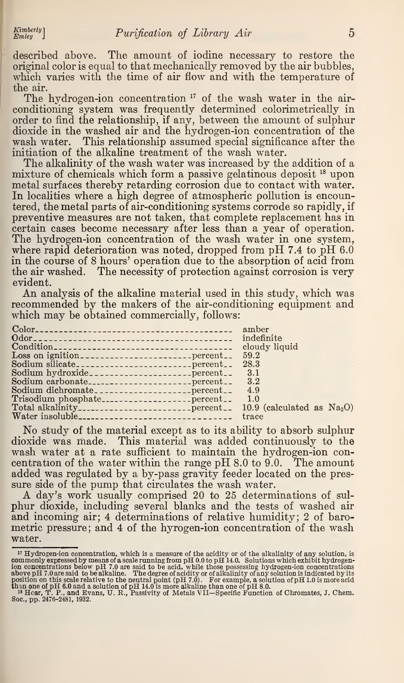described above. The amount of iodine necessary to restore the original color is equal to that mechanically removed by the air bubbles, which varies with the time of air flow and with the temperature of the air. the air.

The hydrogen-ion concentration <sup>17</sup> of the wash water in the air conditioning system was frequently determined colorimetrically in order to find the relationship, if any, between the amount of sulphur dioxide in the washed air and the hydrogen-ion concentration of the wash water. This relationship assumed special significance after the initiation of the alkaline treatment of the wash water.

The alkalinity of the wash water was increased by the addition of a mixture of chemicals which form a passive gelatinous deposit <sup>18</sup> upon metal surfaces thereby retarding corrosion due to contact with water. In localities where a high degree of atmospheric pollution is encountered, the metal parts of air-conditioning systems corrode so rapidly, if preventive measures are not taken, that complete replacement has in certain cases become necessary after less than a year of operation. The hydrogen-ion concentration of the wash water in one system, where rapid deterioration was noted, dropped from  $pH$  7.4 to  $pH$  6.0 in the course of 8 hours' operation due to the absorption of acid from the air washed. The necessity of protection against corrosion is very evident.

An analysis of the alkaline material used in this study, which was recommended by the makers of the air-conditioning equipment and which may be obtained commercially, follows:

|                                                         | amber         |  |
|---------------------------------------------------------|---------------|--|
| Odor <sub>name</sub> indefinite                         |               |  |
|                                                         | cloudy liquid |  |
| Loss on ignition_________________________percent__      | 59.2          |  |
|                                                         |               |  |
| Sodium hydroxide_____________________percent__          | 3.1           |  |
| Sodium carbonate________________________percent__ $3.2$ |               |  |
| Sodium dichromate___________________percent__ 4.9       |               |  |
| Trisodium phosphate____________________percent__ 1.0    |               |  |
|                                                         |               |  |
|                                                         | trace         |  |
|                                                         |               |  |

No study of the material except as to its ability to absorb sulphur dioxide was made. This material was added continuously to the wash water at a rate sufficient to maintain the hydrogen-ion concentration of the water within the range  $pH 8.0$  to 9.0. The amount added was regulated by a by-pass gravity feeder located on the pres-<br>sure side of the pump that circulates the wash water.

sure side of the pump that circulates the wash water.<br>A day's work usually comprised 20 to 25 determinations of sulphur dioxide, including several blanks and the tests of washed air and incoming air; 4 determinations of relative humidity; 2 of barometric pressure; and 4 of the hyrogen-ion concentration of the wash water.

<sup>17</sup> Hydrogen-ion concentration, which is <sup>a</sup> measure of the acidity or of the alkalinity of any solution, is commonly expressed by means of <sup>a</sup> scale running from pH 0.0 to pH 14.0. Solutions which exhibit hydrogenion concentrations below pH 7.0 are said to be acid, while those possessing hydrogen-ion concentrations above pH 7.0 are said to be alkaline. The degree of acidity or of alkalinity of any solution is indicated by its position on this scale relative to the neutral point (pH 7.0). For example, a solution of pH 1.0 is more acid<br>than one of pH 6.0 and a solution of pH 14.0 is more alkaline than one of pH 8.0.<br><sup>18</sup> Hear, T. P., and Evans, U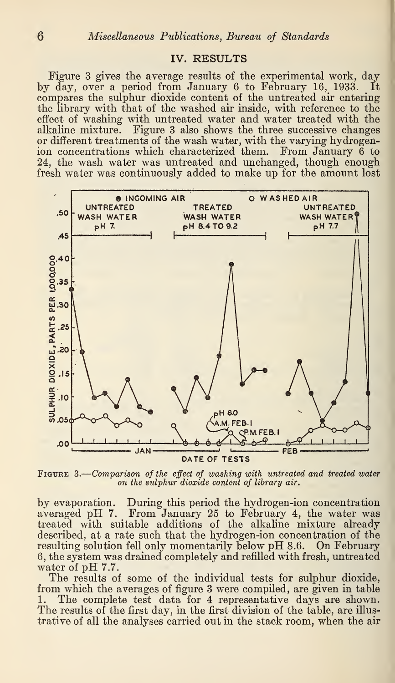# IV. RESULTS

Figure 3 gives the average results of the experimental work, day by day, over a period from January 6 to February 16, 1933. It compares the sulphur dioxide content of the untreated air entering the library with that of the washed air inside, with reference to the effect of washing with untreated water and water treated with the alkaline mixture. Figure 3 also shows the three successive changes or different treatments of the wash water, with the varying hydrogenion concentrations which characterized them. From January <sup>6</sup> to 24, the wash water was untreated and unchanged, though enough fresh water was continuously added to make up for the amount lost



FIGURE 3.—Comparison of the effect of washing with untreated and treated water on the sulphur dioxide content of library air.

by evaporation. During this period the hydrogen-ion concentration averaged pH 7. From January <sup>25</sup> to February 4, the water was treated with suitable additions of the alkaline mixture already described, at a rate such that the hydrogen-ion concentration of the resulting solution fell only momentarily below pH 8.6. On February 6, the system was drained completely and refilled with fresh, untreated water of pH  $7.7$ .

The results of some of the individual tests for sulphur dioxide, from which the averages of figure 3 were compiled, are given in table 1, The complete test data for 4 representative days are shown. The results of the first day, in the first division of the table, are illustrative of all the analyses carried out in the stack room, when the air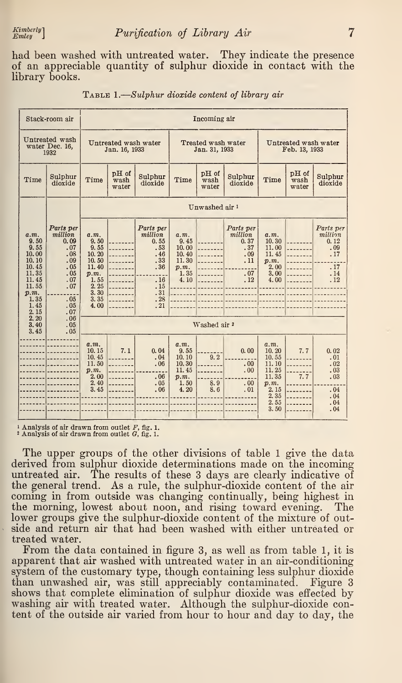had been washed with untreated water. They indicate the presence of an appreciable quantity of sulphur dioxide in contact with the library books.

|                                                                                                                                    | Stack-room air                                                                                            |                                                                                                 |                                       |                                                                                             |                                                                      | Incoming air                                                           |                                                                 |                                                                                               |                                                        |                                                                    |
|------------------------------------------------------------------------------------------------------------------------------------|-----------------------------------------------------------------------------------------------------------|-------------------------------------------------------------------------------------------------|---------------------------------------|---------------------------------------------------------------------------------------------|----------------------------------------------------------------------|------------------------------------------------------------------------|-----------------------------------------------------------------|-----------------------------------------------------------------------------------------------|--------------------------------------------------------|--------------------------------------------------------------------|
| Untreated wash<br>water Dec. 16,<br>1932                                                                                           |                                                                                                           | Untreated wash water<br>Jan. 16, 1933                                                           |                                       | Treated wash water<br>Jan. 31, 1933                                                         |                                                                      | Untreated wash water<br>Feb. 13, 1933                                  |                                                                 |                                                                                               |                                                        |                                                                    |
| Time                                                                                                                               | Sulphur<br>dioxide                                                                                        | Time                                                                                            | pH of<br>wash<br>water                | Sulphur<br>dioxide                                                                          | Time                                                                 | pH of<br>wash<br>water                                                 | Sulphur<br>dioxide                                              | Time                                                                                          | pH of<br>wash<br>water                                 | Sulphur<br>dioxide                                                 |
|                                                                                                                                    | Parts per<br>million<br>0.09<br>.07<br>.08<br>.09<br>.05<br>.05<br>.07<br>.07<br>.05<br>.05<br>.07<br>.06 | Unwashed air 1                                                                                  |                                       |                                                                                             |                                                                      |                                                                        |                                                                 |                                                                                               |                                                        |                                                                    |
| a.m.<br>9.50<br>9.55<br>10.00<br>10.10<br>10.45<br>11.35<br>11.45<br>11.55<br>p.m.<br>1.35<br>1.45<br>2.15<br>2.20<br>3.40<br>3.45 |                                                                                                           | a.m.<br>9.50<br>9.55<br>10.20<br>10.50<br>11.40<br>p.m.<br>1.55<br>2.25<br>3.30<br>3.35<br>4.00 | --------<br>.<br>.                    | Parts per<br>million<br>0.55<br>.53<br>.46<br>.33<br>.36<br>.16<br>.15<br>.31<br>.28<br>.21 | a.m.<br>9.45<br>10.00<br>10.40<br>11.30<br>p.m.<br>1.35<br>4.10<br>. | .<br>--------<br>. 1<br>. 1<br>--------- ----<br>---------<br>-------- | Parts per<br>million<br>0.37<br>.37<br>.09<br>.11<br>.07<br>.12 | a.m.<br>10.30<br>11.00<br>11.45<br>p.m.<br>2.00<br>3.00<br>4.00                               | --------<br>--------<br>------------<br>.<br>--------- | Parts per<br>$m$ illion<br>0.12<br>.09<br>.17<br>.17<br>.14<br>.12 |
|                                                                                                                                    | .05<br>.05                                                                                                |                                                                                                 |                                       |                                                                                             |                                                                      | Washed air 2                                                           |                                                                 |                                                                                               |                                                        |                                                                    |
|                                                                                                                                    | ----------<br>.<br>.<br>.<br>---------------<br>---- ----------                                           | a.m.<br>10.15<br>10.45<br>11.50<br>p.m.<br>2.00<br>2.40<br>3.45                                 | 7.1<br>--------<br>--------<br>.<br>. | 0.04<br>.04<br>.06<br>.06<br>.05<br>.06<br>.                                                | a.m.<br>9.55<br>10.10<br>10.30<br>11.45<br>p.m.<br>1.50<br>4.20      | 9.2<br>--------<br>--------<br>8.9<br>8.6                              | 0.00<br>.00<br>.00<br>.00<br>.01                                | a.m.<br>10.20<br>10.55<br>11.10<br>11.25<br>11.35<br>$p, m$ .<br>2.15<br>2.35<br>2.55<br>3.50 | 7.7<br>7.7<br>.                                        | 0.02<br>.01<br>.02<br>.03<br>.03<br>.04<br>.04<br>.04<br>.04       |

TABLE 1.—Sulphur dioxide content of library air

<sup>1</sup> Analysis of air drawn from outlet  $F$ , fig. 1.<br><sup>2</sup> Analysis of air drawn from outlet  $G$ , fig. 1.

The upper groups of the other divisions of table <sup>1</sup> give the data derived from sulphur dioxide determinations made on the incoming untreated air. The results of these 3 days are clearly indicative of the general trend. As a rule, the sulphur-dioxide content of the air coming in from outside was changing continually, being highest in the morning, lowest about noon, and rising toward evening. The lower groups give the sulphur-dioxide content of the mixture of outside and return air that had been washed with either untreated or treated water.

From the data contained in figure 3, as well as from table 1, it is apparent that air washed with untreated water in an air-conditioning system of the customary type, though containing less sulphur dioxide than unwashed air, was still appreciably contaminated. Figure 3 shows that complete elimination of sulphur dioxide was effected by washing air with treated water. Although the sulphur-dioxide content of the outside air varied from hour to hour and day to day, the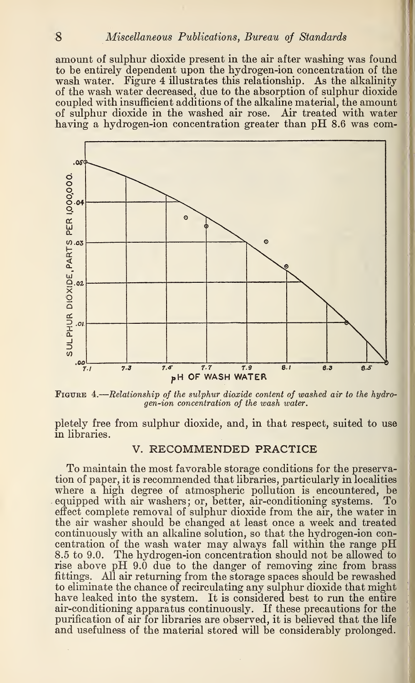amount of sulphur dioxide present in the air after washing was found to be entirely dependent upon the hydrogen-ion concentration of the wash water. Figure 4 illustrates this relationship. As the alkalinity of the wash water decreased, due to the absorption of sulphur dioxide coupled with insufficient additions of the alkaline material, the amount of sulphur dioxide in the washed air rose. Air treated with water having a hydrogen-ion concentration greater than pH 8.6 was com-



FIGURE 4.—Relationship of the sulphur dioxide content of washed air to the hydrogen-ion concentration of the wash water.

pletely free from sulphur dioxide, and, in that respect, suited to use in libraries.

## V. RECOMMENDED PRACTICE

To maintain the most favorable storage conditions for the preservation of paper, it is recommended that libraries, particularly in localities where a high degree of atmospheric pollution is encountered, be equipped with air washers; or, better, air-conditioning systems. To effect complete removal of sulphur dioxide from the air, the water in the air washer should be changed at least once a week and treated continuously with an alkaline solution, so that the hydrogen-ion con centration of the wash water may always fall within the range pH 8.5 to 9.0. The hydrogen-ion concentration should not be allowed to rise above pH 9.0 due to the danger of removing zinc from brass fittings. All air returning from the storage spaces should be rewashed to eliminate the chance of recirculating any sulphur dioxide that might have leaked into the system. It is considered best to run the entire air-conditioning apparatus continuously. If these precautions for the purification of air for libraries are observed, it is believed that the life and usefulness of the material stored will be considerably prolonged.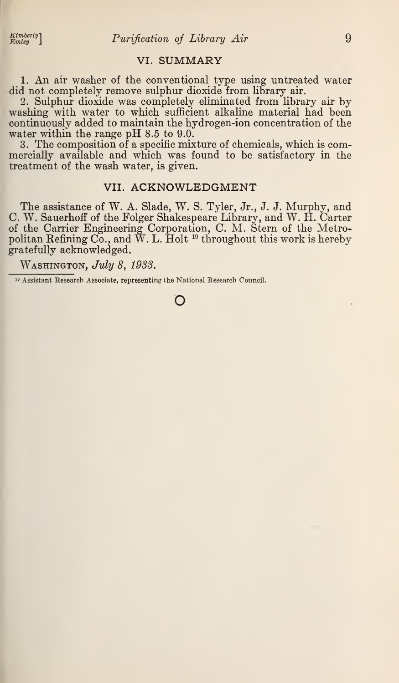# VI. SUMMARY

1. An air washer of the conventional type using untreated water did not completely remove sulphur dioxide from library air.

2. Sulphur dioxide was completely eliminated from library air by washing with water to which sufficient alkaline material had been continuously added to maintain the hydrogen-ion concentration of the water within the range pH 8.5 to 9.0.

3. The composition of a specific mixture of chemicals, which is commercially available and which was found to be satisfactory in the treatment of the wash water, is given.

## VII. ACKNOWLEDGMENT

The assistance of W. A. Slade, W. S. Tyler, Jr., J. J. Murphy, and C. W. Sauerhoff of the Folger Shakespeare Library, and W. H. Carter of the Carrier Engineering Corporation, C. M. Stern of the Metropolitan Refining Co., and  $\breve{W}$ . L. Holt <sup>19</sup> throughout this work is hereby gratefully acknowledged.

WASHINGTON, July 8, 1933.

<sup>19</sup> Assistant Research Associate, representing the National Research Council.

O